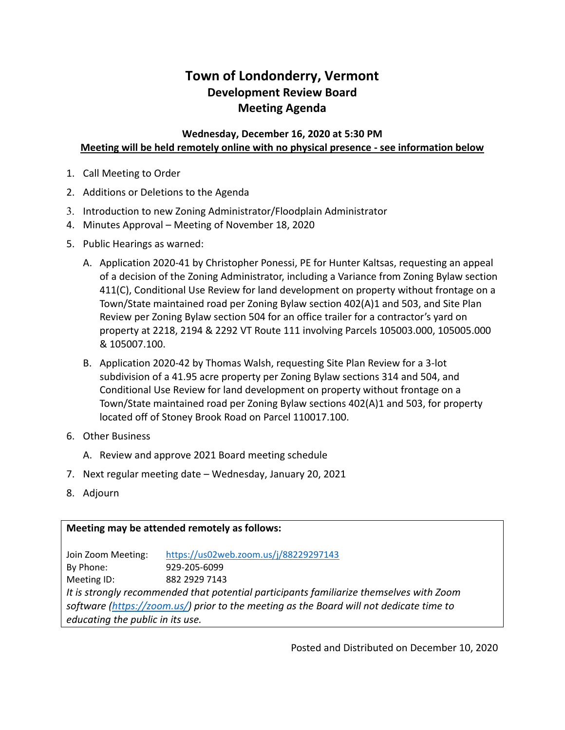# **Town of Londonderry, Vermont Development Review Board Meeting Agenda**

### **Wednesday, December 16, 2020 at 5:30 PM Meeting will be held remotely online with no physical presence - see information below**

- 1. Call Meeting to Order
- 2. Additions or Deletions to the Agenda
- 3. Introduction to new Zoning Administrator/Floodplain Administrator
- 4. Minutes Approval Meeting of November 18, 2020
- 5. Public Hearings as warned:
	- A. Application 2020-41 by Christopher Ponessi, PE for Hunter Kaltsas, requesting an appeal of a decision of the Zoning Administrator, including a Variance from Zoning Bylaw section 411(C), Conditional Use Review for land development on property without frontage on a Town/State maintained road per Zoning Bylaw section 402(A)1 and 503, and Site Plan Review per Zoning Bylaw section 504 for an office trailer for a contractor's yard on property at 2218, 2194 & 2292 VT Route 111 involving Parcels 105003.000, 105005.000 & 105007.100.
	- B. Application 2020-42 by Thomas Walsh, requesting Site Plan Review for a 3-lot subdivision of a 41.95 acre property per Zoning Bylaw sections 314 and 504, and Conditional Use Review for land development on property without frontage on a Town/State maintained road per Zoning Bylaw sections 402(A)1 and 503, for property located off of Stoney Brook Road on Parcel 110017.100.
- 6. Other Business
	- A. Review and approve 2021 Board meeting schedule
- 7. Next regular meeting date Wednesday, January 20, 2021
- 8. Adjourn

### **Meeting may be attended remotely as follows:**

Join Zoom Meeting: https://us02web.zoom.us/j/88229297143 By Phone: 929-205-6099 Meeting ID: 882 2929 7143 *It is strongly recommended that potential participants familiarize themselves with Zoom software (https://zoom.us/) prior to the meeting as the Board will not dedicate time to educating the public in its use.* 

Posted and Distributed on December 10, 2020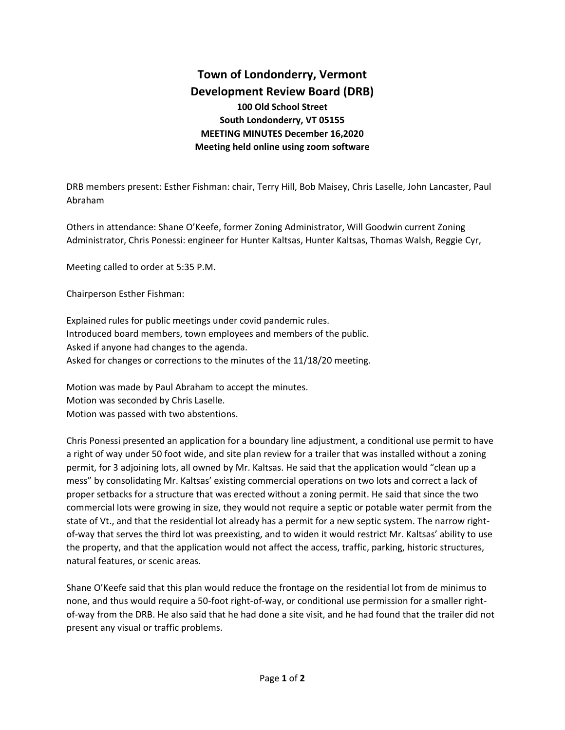## **Town of Londonderry, Vermont Development Review Board (DRB) 100 Old School Street South Londonderry, VT 05155 MEETING MINUTES December 16,2020 Meeting held online using zoom software**

DRB members present: Esther Fishman: chair, Terry Hill, Bob Maisey, Chris Laselle, John Lancaster, Paul Abraham

Others in attendance: Shane O'Keefe, former Zoning Administrator, Will Goodwin current Zoning Administrator, Chris Ponessi: engineer for Hunter Kaltsas, Hunter Kaltsas, Thomas Walsh, Reggie Cyr,

Meeting called to order at 5:35 P.M.

Chairperson Esther Fishman:

Explained rules for public meetings under covid pandemic rules. Introduced board members, town employees and members of the public. Asked if anyone had changes to the agenda. Asked for changes or corrections to the minutes of the 11/18/20 meeting.

Motion was made by Paul Abraham to accept the minutes. Motion was seconded by Chris Laselle. Motion was passed with two abstentions.

Chris Ponessi presented an application for a boundary line adjustment, a conditional use permit to have a right of way under 50 foot wide, and site plan review for a trailer that was installed without a zoning permit, for 3 adjoining lots, all owned by Mr. Kaltsas. He said that the application would "clean up a mess" by consolidating Mr. Kaltsas' existing commercial operations on two lots and correct a lack of proper setbacks for a structure that was erected without a zoning permit. He said that since the two commercial lots were growing in size, they would not require a septic or potable water permit from the state of Vt., and that the residential lot already has a permit for a new septic system. The narrow rightof-way that serves the third lot was preexisting, and to widen it would restrict Mr. Kaltsas' ability to use the property, and that the application would not affect the access, traffic, parking, historic structures, natural features, or scenic areas.

Shane O'Keefe said that this plan would reduce the frontage on the residential lot from de minimus to none, and thus would require a 50-foot right-of-way, or conditional use permission for a smaller rightof-way from the DRB. He also said that he had done a site visit, and he had found that the trailer did not present any visual or traffic problems.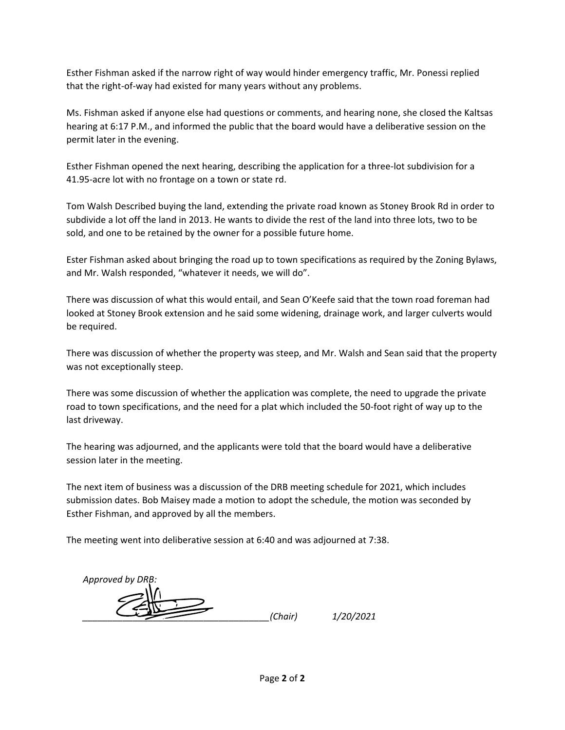Esther Fishman asked if the narrow right of way would hinder emergency traffic, Mr. Ponessi replied that the right-of-way had existed for many years without any problems.

Ms. Fishman asked if anyone else had questions or comments, and hearing none, she closed the Kaltsas hearing at 6:17 P.M., and informed the public that the board would have a deliberative session on the permit later in the evening.

Esther Fishman opened the next hearing, describing the application for a three-lot subdivision for a 41.95-acre lot with no frontage on a town or state rd.

Tom Walsh Described buying the land, extending the private road known as Stoney Brook Rd in order to subdivide a lot off the land in 2013. He wants to divide the rest of the land into three lots, two to be sold, and one to be retained by the owner for a possible future home.

Ester Fishman asked about bringing the road up to town specifications as required by the Zoning Bylaws, and Mr. Walsh responded, "whatever it needs, we will do".

There was discussion of what this would entail, and Sean O'Keefe said that the town road foreman had looked at Stoney Brook extension and he said some widening, drainage work, and larger culverts would be required.

There was discussion of whether the property was steep, and Mr. Walsh and Sean said that the property was not exceptionally steep.

There was some discussion of whether the application was complete, the need to upgrade the private road to town specifications, and the need for a plat which included the 50-foot right of way up to the last driveway.

The hearing was adjourned, and the applicants were told that the board would have a deliberative session later in the meeting.

The next item of business was a discussion of the DRB meeting schedule for 2021, which includes submission dates. Bob Maisey made a motion to adopt the schedule, the motion was seconded by Esther Fishman, and approved by all the members.

The meeting went into deliberative session at 6:40 and was adjourned at 7:38.

*Approved by DRB: \_\_\_\_\_\_\_\_\_\_\_\_\_\_\_\_\_\_\_\_\_\_\_\_\_\_\_\_\_\_\_\_\_\_\_\_\_(Chair) 1/20/2021*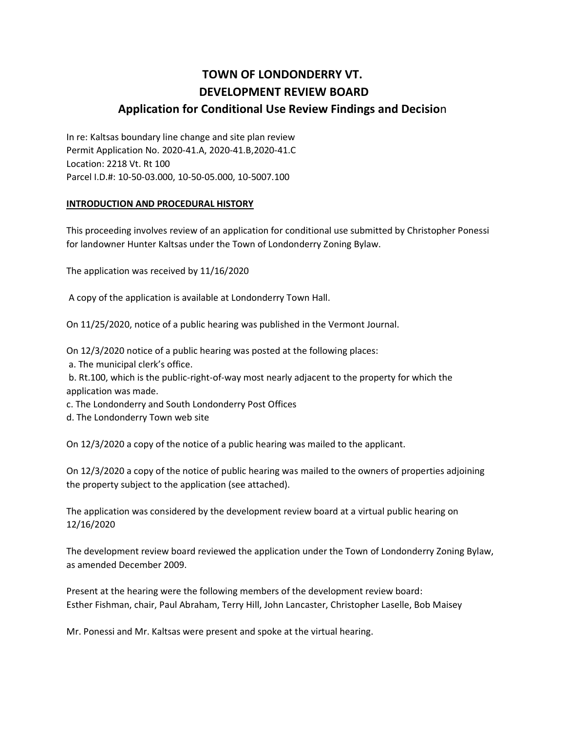# **TOWN OF LONDONDERRY VT. DEVELOPMENT REVIEW BOARD Application for Conditional Use Review Findings and Decisio**n

In re: Kaltsas boundary line change and site plan review Permit Application No. 2020-41.A, 2020-41.B,2020-41.C Location: 2218 Vt. Rt 100 Parcel I.D.#: 10-50-03.000, 10-50-05.000, 10-5007.100

#### **INTRODUCTION AND PROCEDURAL HISTORY**

This proceeding involves review of an application for conditional use submitted by Christopher Ponessi for landowner Hunter Kaltsas under the Town of Londonderry Zoning Bylaw.

The application was received by 11/16/2020

A copy of the application is available at Londonderry Town Hall.

On 11/25/2020, notice of a public hearing was published in the Vermont Journal.

On 12/3/2020 notice of a public hearing was posted at the following places:

a. The municipal clerk's office.

b. Rt.100, which is the public-right-of-way most nearly adjacent to the property for which the application was made.

- c. The Londonderry and South Londonderry Post Offices
- d. The Londonderry Town web site

On 12/3/2020 a copy of the notice of a public hearing was mailed to the applicant.

On 12/3/2020 a copy of the notice of public hearing was mailed to the owners of properties adjoining the property subject to the application (see attached).

The application was considered by the development review board at a virtual public hearing on 12/16/2020

The development review board reviewed the application under the Town of Londonderry Zoning Bylaw, as amended December 2009.

Present at the hearing were the following members of the development review board: Esther Fishman, chair, Paul Abraham, Terry Hill, John Lancaster, Christopher Laselle, Bob Maisey

Mr. Ponessi and Mr. Kaltsas were present and spoke at the virtual hearing.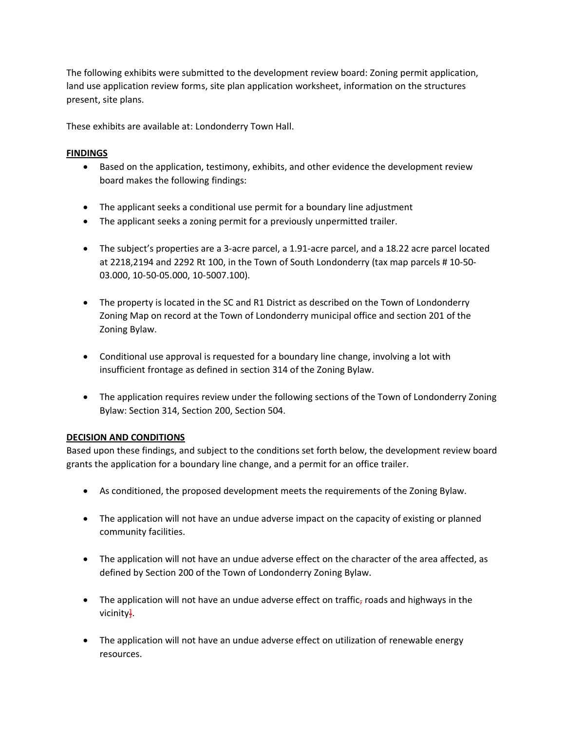The following exhibits were submitted to the development review board: Zoning permit application, land use application review forms, site plan application worksheet, information on the structures present, site plans.

These exhibits are available at: Londonderry Town Hall.

### **FINDINGS**

- Based on the application, testimony, exhibits, and other evidence the development review board makes the following findings:
- The applicant seeks a conditional use permit for a boundary line adjustment
- The applicant seeks a zoning permit for a previously unpermitted trailer.
- The subject's properties are a 3-acre parcel, a 1.91-acre parcel, and a 18.22 acre parcel located at 2218,2194 and 2292 Rt 100, in the Town of South Londonderry (tax map parcels # 10-50- 03.000, 10-50-05.000, 10-5007.100).
- The property is located in the SC and R1 District as described on the Town of Londonderry Zoning Map on record at the Town of Londonderry municipal office and section 201 of the Zoning Bylaw.
- Conditional use approval is requested for a boundary line change, involving a lot with insufficient frontage as defined in section 314 of the Zoning Bylaw.
- The application requires review under the following sections of the Town of Londonderry Zoning Bylaw: Section 314, Section 200, Section 504.

### **DECISION AND CONDITIONS**

Based upon these findings, and subject to the conditions set forth below, the development review board grants the application for a boundary line change, and a permit for an office trailer.

- As conditioned, the proposed development meets the requirements of the Zoning Bylaw.
- The application will not have an undue adverse impact on the capacity of existing or planned community facilities.
- The application will not have an undue adverse effect on the character of the area affected, as defined by Section 200 of the Town of Londonderry Zoning Bylaw.
- The application will not have an undue adverse effect on traffic, roads and highways in the vicinity<sup>}</sup>.
- The application will not have an undue adverse effect on utilization of renewable energy resources.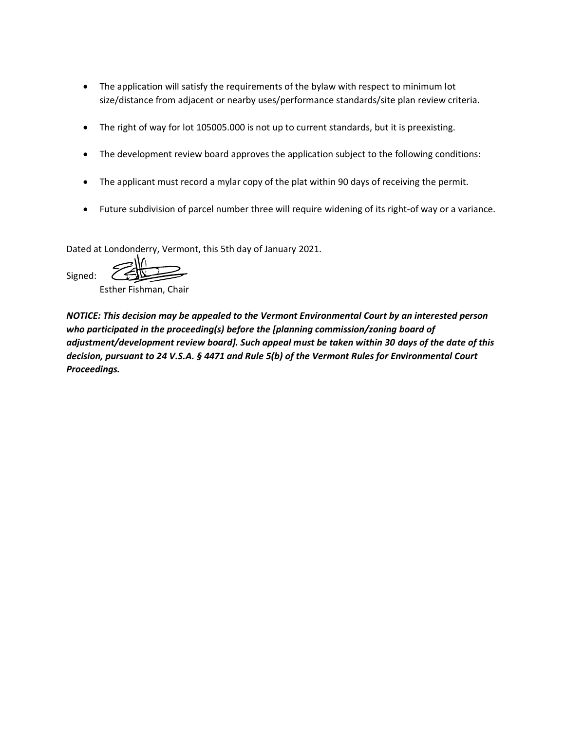- The application will satisfy the requirements of the bylaw with respect to minimum lot size/distance from adjacent or nearby uses/performance standards/site plan review criteria.
- The right of way for lot 105005.000 is not up to current standards, but it is preexisting.
- The development review board approves the application subject to the following conditions:
- The applicant must record a mylar copy of the plat within 90 days of receiving the permit.
- Future subdivision of parcel number three will require widening of its right-of way or a variance.

Dated at Londonderry, Vermont, this 5th day of January 2021.

Signed:

Esther Fishman, Chair

*NOTICE: This decision may be appealed to the Vermont Environmental Court by an interested person who participated in the proceeding(s) before the [planning commission/zoning board of adjustment/development review board]. Such appeal must be taken within 30 days of the date of this decision, pursuant to 24 V.S.A. § 4471 and Rule 5(b) of the Vermont Rules for Environmental Court Proceedings.*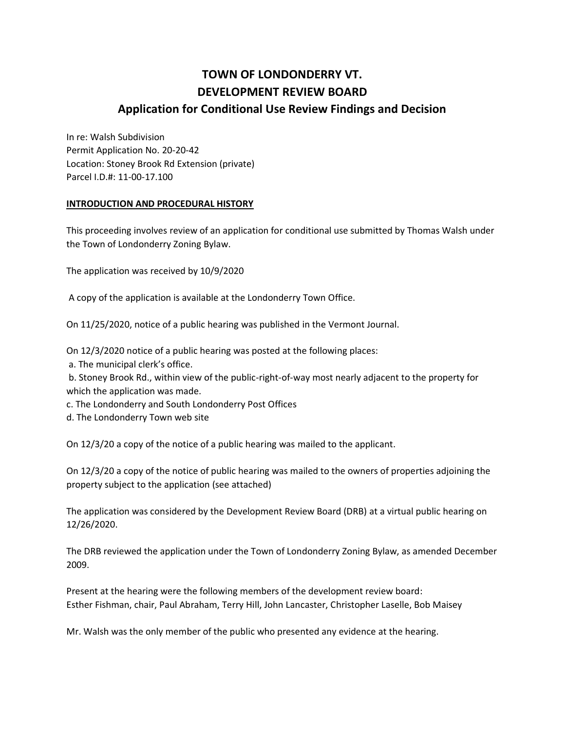# **TOWN OF LONDONDERRY VT. DEVELOPMENT REVIEW BOARD Application for Conditional Use Review Findings and Decision**

In re: Walsh Subdivision Permit Application No. 20-20-42 Location: Stoney Brook Rd Extension (private) Parcel I.D.#: 11-00-17.100

#### **INTRODUCTION AND PROCEDURAL HISTORY**

This proceeding involves review of an application for conditional use submitted by Thomas Walsh under the Town of Londonderry Zoning Bylaw.

The application was received by 10/9/2020

A copy of the application is available at the Londonderry Town Office.

On 11/25/2020, notice of a public hearing was published in the Vermont Journal.

On 12/3/2020 notice of a public hearing was posted at the following places:

a. The municipal clerk's office.

b. Stoney Brook Rd., within view of the public-right-of-way most nearly adjacent to the property for which the application was made.

c. The Londonderry and South Londonderry Post Offices

d. The Londonderry Town web site

On 12/3/20 a copy of the notice of a public hearing was mailed to the applicant.

On 12/3/20 a copy of the notice of public hearing was mailed to the owners of properties adjoining the property subject to the application (see attached)

The application was considered by the Development Review Board (DRB) at a virtual public hearing on 12/26/2020.

The DRB reviewed the application under the Town of Londonderry Zoning Bylaw, as amended December 2009.

Present at the hearing were the following members of the development review board: Esther Fishman, chair, Paul Abraham, Terry Hill, John Lancaster, Christopher Laselle, Bob Maisey

Mr. Walsh was the only member of the public who presented any evidence at the hearing.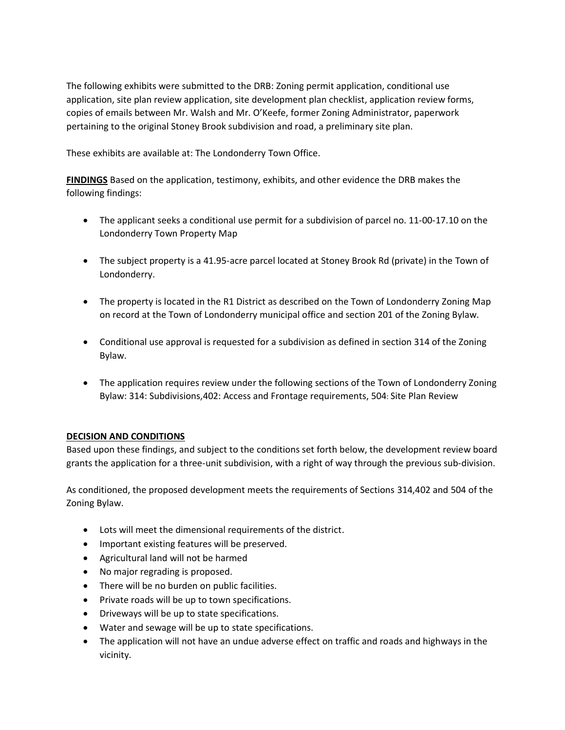The following exhibits were submitted to the DRB: Zoning permit application, conditional use application, site plan review application, site development plan checklist, application review forms, copies of emails between Mr. Walsh and Mr. O'Keefe, former Zoning Administrator, paperwork pertaining to the original Stoney Brook subdivision and road, a preliminary site plan.

These exhibits are available at: The Londonderry Town Office.

**FINDINGS** Based on the application, testimony, exhibits, and other evidence the DRB makes the following findings:

- The applicant seeks a conditional use permit for a subdivision of parcel no. 11-00-17.10 on the Londonderry Town Property Map
- The subject property is a 41.95-acre parcel located at Stoney Brook Rd (private) in the Town of Londonderry.
- The property is located in the R1 District as described on the Town of Londonderry Zoning Map on record at the Town of Londonderry municipal office and section 201 of the Zoning Bylaw.
- Conditional use approval is requested for a subdivision as defined in section 314 of the Zoning Bylaw.
- The application requires review under the following sections of the Town of Londonderry Zoning Bylaw: 314: Subdivisions,402: Access and Frontage requirements, 504: Site Plan Review

### **DECISION AND CONDITIONS**

Based upon these findings, and subject to the conditions set forth below, the development review board grants the application for a three-unit subdivision, with a right of way through the previous sub-division.

As conditioned, the proposed development meets the requirements of Sections 314,402 and 504 of the Zoning Bylaw.

- Lots will meet the dimensional requirements of the district.
- Important existing features will be preserved.
- Agricultural land will not be harmed
- No major regrading is proposed.
- There will be no burden on public facilities.
- Private roads will be up to town specifications.
- Driveways will be up to state specifications.
- Water and sewage will be up to state specifications.
- The application will not have an undue adverse effect on traffic and roads and highways in the vicinity.